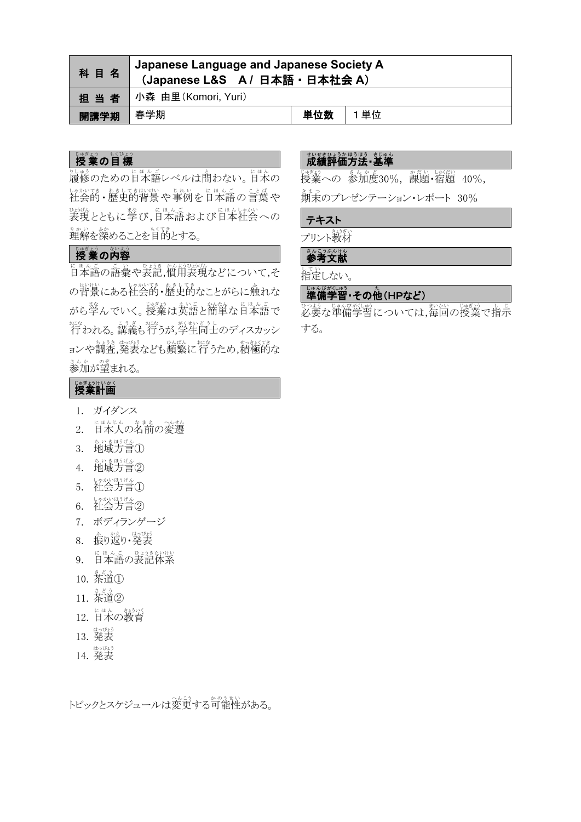| 科目名         |                           |     |     |
|-------------|---------------------------|-----|-----|
|             | 担当者   小森 由里(Komori, Yuri) |     |     |
| ■開講学期 │ 春学期 |                           | 単位数 | 1単位 |

# じゅぎょう もくひょう

。<br>履修のための日本語レベルは問わない。日本の 社会的 し ゃ か い て き ・歴史的 れ き し て き 背景 はいけい や事例 じ れ い を日本語 に ほ ん ご の言葉 こ と ば や 表現 ひょうげん とともに学 ま な び,日本語 に ほ ん ご および日本 に ほ ん 社会 し ゃ か い への 。*。*<br>理解を深めることを目的とする。

# いま♪<br>授業の内容

にほんごの話彙や表記,慣用表現などについて,そ の背景にある社会的・歴史的なことがらに触れな がら学んでいく。授業は英語と簡単な日本語で <sub>おな</sub><br>行われる。講義も行うが,学生同士のディスカッシ ョンや調査,発表なども頻繁に行うため,積極的な 。。。。。。。。<br>参加が望まれる。

### しきおけいかく

- 1. ガイダンス
- 2. 日本人の名前の変遷
- 3. 地域方言①
- 4. 地域方言②
- 5. 社会方言①
- 6. 社会方言②
- 7. ボディランゲージ
- 8. 振り返り・発表
- 9. 日本語の表記体系
- 10. 茶道①
- 11. 茶道 さ ど う ②
- 12. 日本の教育
- 13. 発表 はっぴょう
- 14. 発表 はっぴょう

トピックとスケジュールは変更する可能性がある。

## <u>。<br>成績評価方法・基準</u>

。<br>授業への 参加度30%, 課題・宿題 40%,

<u>。</u><br>期末のプレゼンテーション・レポート 30%

#### テキスト

プリント教材

### ≛んこぅ⋇んけん<br>**参考文献**

してい<br>指定しない。

# 準備 じ ゅ ん び 学習 がくしゅう ・その他 た (HPなど)

必要 ひつよう な準備 じゅんび 学習 がくしゅう については,毎回 まいかい の授業 じゅぎょう で指示 し じ する。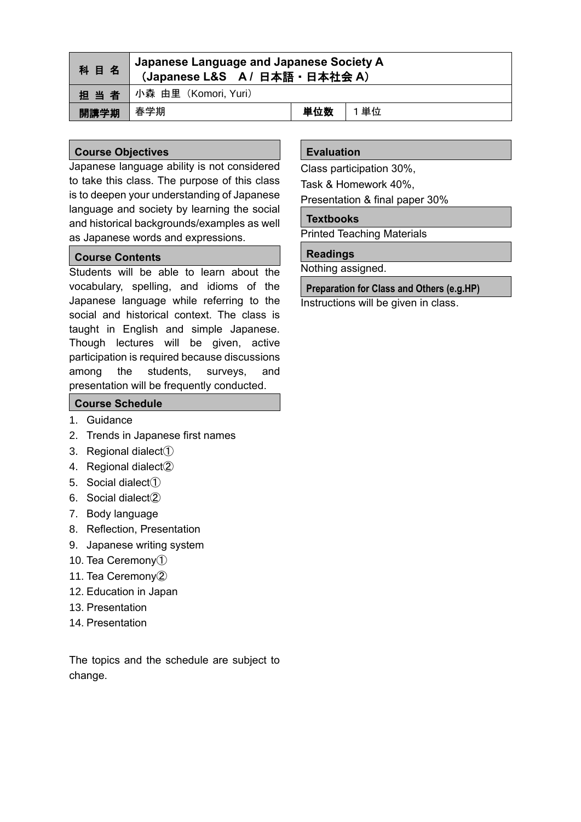| 科目名  | Japanese Language and Japanese Society A<br>(Japanese L&S A / 日本語 · 日本社会 A) |     |     |
|------|-----------------------------------------------------------------------------|-----|-----|
|      | 担当者   小森 由里 (Komori, Yuri)                                                  |     |     |
| 開講学期 | 春学期                                                                         | 単位数 | 1単位 |

### **Course Objectives**

Japanese language ability is not considered to take this class. The purpose of this class is to deepen your understanding of Japanese language and society by learning the social and historical backgrounds/examples as well as Japanese words and expressions.

#### **Course Contents**

Students will be able to learn about the vocabulary, spelling, and idioms of the Japanese language while referring to the social and historical context. The class is taught in English and simple Japanese. Though lectures will be given, active participation is required because discussions among the students, surveys, and presentation will be frequently conducted.

### **Course Schedule**

- 1. Guidance
- 2. Trends in Japanese first names
- 3. Regional dialect①
- 4. Regional dialect②
- 5. Social dialect①
- 6. Social dialect②
- 7. Body language
- 8. Reflection, Presentation
- 9. Japanese writing system
- 10. Tea Ceremony①
- 11. Tea Ceremony②
- 12. Education in Japan
- 13. Presentation
- 14. Presentation

The topics and the schedule are subject to change.

### **Evaluation**

Class participation 30%,

Task & Homework 40%,

Presentation & final paper 30%

#### **Textbooks**

Printed Teaching Materials

#### **Readings**

Nothing assigned.

**Preparation for Class and Others (e.g.HP)** Instructions will be given in class.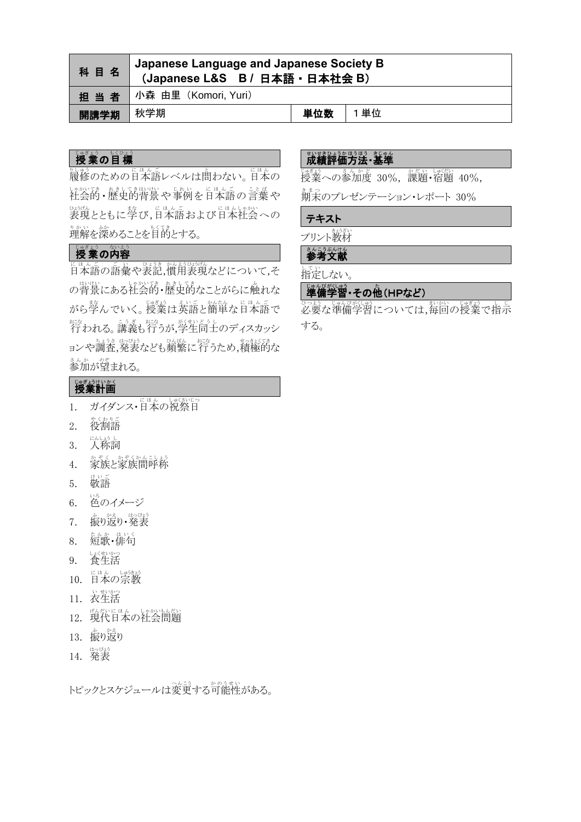| 科目名  | Japanese Language and Japanese Society B<br>(Japanese L&S B / 日本語 · 日本社会 B) |     |      |  |
|------|-----------------------------------------------------------------------------|-----|------|--|
|      | 担当者 小森 由里 (Komori, Yuri)                                                    |     |      |  |
| 開講学期 | 秋学期                                                                         | 単位数 | 1 単位 |  |

# しょう の目標

。<br>履修のための日本語レベルは問わない。日本の 社会的 し ゃ か い て き ・歴史的 れ き し て き 背景 はいけい や事例 じ れ い を日本語 に ほ ん ご の言葉 こ と ば や 表現 ひょうげん とともに学 ま な び,日本語 に ほ ん ご および日本 に ほ ん 社会 し ゃ か い への 。*。*<br>理解を深めることを目的とする。

# 授業の内容

日本語 に ほ ん ご の語彙 ご い や表記 ひ ょ う き ,慣用 か ん よ う 表現 ひょうげん などについて,そ の背景にある社会的・歴史的なことがらに触れな がら学んでいく。授業は英語と簡単な日本語で <sub>おな</sub><br>行われる。講義も行うが,学生同士のディスカッシ ョンや調査,発表なども頻繁に行うため,積極的な まんか、。。<br>参加が望まれる。

# しきおけいかく

- 1. ガイダンス・日本の祝祭日
- 2. 役割語
- 3. 人称詞
- 4. 家族と家族間呼称
- 5. 敬語
- 6. 色 いろ のイメージ
- 7. 振り返り・発表
- 8. 短歌・俳句
- 9. 養生活
- 10. 日本の宗教
- 11. 衣生活
- 12. 現代日本の社会問題
- 13. 振り返り
- 14. 発表

トピックとスケジュールは変更する可能性がある。

### <u>。<br>成績評価方法・基準</u>

。<br>授業への参加度 30%, 課題・宿題 40%,

<u>。</u><br>期末のプレゼンテーション・レポート 30%

#### テキスト

プリント教材

### <u>。</u><br>参考文献

してい<br>指定しない。

# 準備 じ ゅ ん び 学習 がくしゅう ・その他 た (HPなど)

必要 ひつよう な準備 じゅんび 学習 がくしゅう については,毎回 まいかい の授業 じゅぎょう で指示 し じ する。